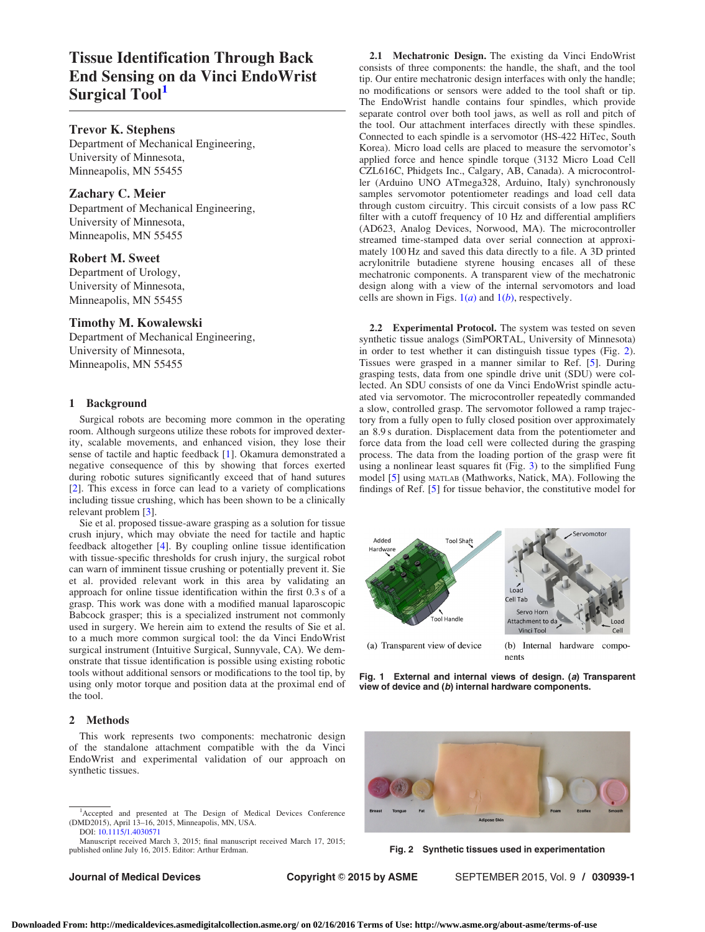# Tissue Identification Through Back End Sensing on da Vinci EndoWrist Surgical Tool<sup>1</sup>

# Trevor K. Stephens

Department of Mechanical Engineering, University of Minnesota, Minneapolis, MN 55455

## Zachary C. Meier

Department of Mechanical Engineering, University of Minnesota, Minneapolis, MN 55455

## Robert M. Sweet

Department of Urology, University of Minnesota, Minneapolis, MN 55455

#### Timothy M. Kowalewski

Department of Mechanical Engineering, University of Minnesota, Minneapolis, MN 55455

# 1 Background

Surgical robots are becoming more common in the operating room. Although surgeons utilize these robots for improved dexterity, scalable movements, and enhanced vision, they lose their sense of tactile and haptic feedback [\[1\]](#page-1-0). Okamura demonstrated a negative consequence of this by showing that forces exerted during robotic sutures significantly exceed that of hand sutures [[2\]](#page-1-0). This excess in force can lead to a variety of complications including tissue crushing, which has been shown to be a clinically relevant problem [[3](#page-1-0)].

Sie et al. proposed tissue-aware grasping as a solution for tissue crush injury, which may obviate the need for tactile and haptic feedback altogether [\[4\]](#page-1-0). By coupling online tissue identification with tissue-specific thresholds for crush injury, the surgical robot can warn of imminent tissue crushing or potentially prevent it. Sie et al. provided relevant work in this area by validating an approach for online tissue identification within the first 0.3 s of a grasp. This work was done with a modified manual laparoscopic Babcock grasper; this is a specialized instrument not commonly used in surgery. We herein aim to extend the results of Sie et al. to a much more common surgical tool: the da Vinci EndoWrist surgical instrument (Intuitive Surgical, Sunnyvale, CA). We demonstrate that tissue identification is possible using existing robotic tools without additional sensors or modifications to the tool tip, by using only motor torque and position data at the proximal end of the tool.

### 2 Methods

This work represents two components: mechatronic design of the standalone attachment compatible with the da Vinci EndoWrist and experimental validation of our approach on synthetic tissues.

Journal of Medical Devices **Copyright © 2015 by ASME** SEPTEMBER 2015, Vol. 9 / 030939-1

2.1 Mechatronic Design. The existing da Vinci EndoWrist consists of three components: the handle, the shaft, and the tool tip. Our entire mechatronic design interfaces with only the handle; no modifications or sensors were added to the tool shaft or tip. The EndoWrist handle contains four spindles, which provide separate control over both tool jaws, as well as roll and pitch of the tool. Our attachment interfaces directly with these spindles. Connected to each spindle is a servomotor (HS-422 HiTec, South Korea). Micro load cells are placed to measure the servomotor's applied force and hence spindle torque (3132 Micro Load Cell CZL616C, Phidgets Inc., Calgary, AB, Canada). A microcontroller (Arduino UNO ATmega328, Arduino, Italy) synchronously samples servomotor potentiometer readings and load cell data through custom circuitry. This circuit consists of a low pass RC filter with a cutoff frequency of 10 Hz and differential amplifiers (AD623, Analog Devices, Norwood, MA). The microcontroller streamed time-stamped data over serial connection at approximately 100 Hz and saved this data directly to a file. A 3D printed acrylonitrile butadiene styrene housing encases all of these mechatronic components. A transparent view of the mechatronic design along with a view of the internal servomotors and load cells are shown in Figs.  $1(a)$  and  $1(b)$ , respectively.

2.2 Experimental Protocol. The system was tested on seven synthetic tissue analogs (SimPORTAL, University of Minnesota) in order to test whether it can distinguish tissue types (Fig. 2). Tissues were grasped in a manner similar to Ref. [\[5\]](#page-1-0). During grasping tests, data from one spindle drive unit (SDU) were collected. An SDU consists of one da Vinci EndoWrist spindle actuated via servomotor. The microcontroller repeatedly commanded a slow, controlled grasp. The servomotor followed a ramp trajectory from a fully open to fully closed position over approximately an 8.9 s duration. Displacement data from the potentiometer and force data from the load cell were collected during the grasping process. The data from the loading portion of the grasp were fit using a nonlinear least squares fit (Fig. [3](#page-1-0)) to the simplified Fung model [\[5\]](#page-1-0) using MATLAB (Mathworks, Natick, MA). Following the findings of Ref. [[5](#page-1-0)] for tissue behavior, the constitutive model for



Fig. 1 External and internal views of design. (a) Transparent view of device and (b) internal hardware components.



Fig. 2 Synthetic tissues used in experimentation

<sup>1</sup> Accepted and presented at The Design of Medical Devices Conference (DMD2015), April 13–16, 2015, Minneapolis, MN, USA. DOI: [10.1115/1.4030571](http://dx.doi.org/10.1115/1.4030571)

Manuscript received March 3, 2015; final manuscript received March 17, 2015; published online July 16, 2015. Editor: Arthur Erdman.